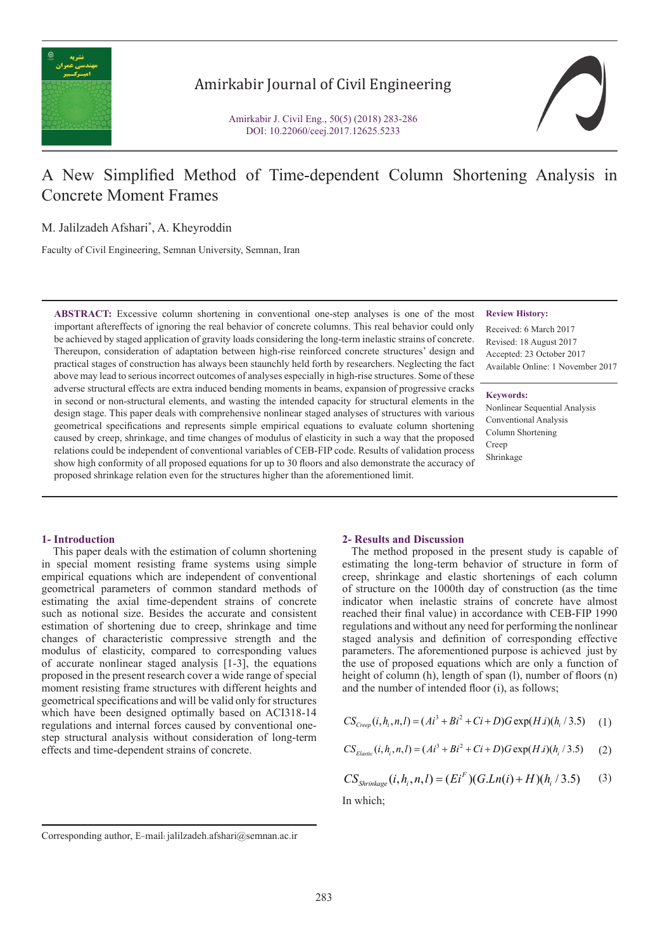

## Amirkabir Journal of Civil Engineering

Amirkabir J. Civil Eng., 50(5) (2018) 283-286 DOI: 10.22060/ceej.2017.12625.5233



# A New Simplified Method of Time-dependent Column Shortening Analysis in Concrete Moment Frames

M. Jalilzadeh Afshari\* , A. Kheyroddin

Faculty of Civil Engineering, Semnan University, Semnan, Iran

**ABSTRACT:** Excessive column shortening in conventional one-step analyses is one of the most important aftereffects of ignoring the real behavior of concrete columns. This real behavior could only be achieved by staged application of gravity loads considering the long-term inelastic strains of concrete. Thereupon, consideration of adaptation between high-rise reinforced concrete structures' design and practical stages of construction has always been staunchly held forth by researchers. Neglecting the fact above may lead to serious incorrect outcomes of analyses especially in high-rise structures. Some of these adverse structural effects are extra induced bending moments in beams, expansion of progressive cracks in second or non-structural elements, and wasting the intended capacity for structural elements in the design stage. This paper deals with comprehensive nonlinear staged analyses of structures with various geometrical specifications and represents simple empirical equations to evaluate column shortening caused by creep, shrinkage, and time changes of modulus of elasticity in such a way that the proposed relations could be independent of conventional variables of CEB-FIP code. Results of validation process show high conformity of all proposed equations for up to 30 floors and also demonstrate the accuracy of proposed shrinkage relation even for the structures higher than the aforementioned limit.

#### **Review History:**

Received: 6 March 2017 Revised: 18 August 2017 Accepted: 23 October 2017 Available Online: 1 November 2017

#### **Keywords:**

Nonlinear Sequential Analysis Conventional Analysis Column Shortening Creep Shrinkage

#### **1- Introduction**

 This paper deals with the estimation of column shortening in special moment resisting frame systems using simple empirical equations which are independent of conventional geometrical parameters of common standard methods of estimating the axial time-dependent strains of concrete such as notional size. Besides the accurate and consistent estimation of shortening due to creep, shrinkage and time changes of characteristic compressive strength and the modulus of elasticity, compared to corresponding values of accurate nonlinear staged analysis [1-3], the equations proposed in the present research cover a wide range of special moment resisting frame structures with different heights and geometrical specifications and will be valid only for structures which have been designed optimally based on ACI318-14 regulations and internal forces caused by conventional onestep structural analysis without consideration of long-term effects and time-dependent strains of concrete.

#### **2- Results and Discussion**

 The method proposed in the present study is capable of estimating the long-term behavior of structure in form of creep, shrinkage and elastic shortenings of each column of structure on the 1000th day of construction (as the time indicator when inelastic strains of concrete have almost reached their final value) in accordance with CEB-FIP 1990 regulations and without any need for performing the nonlinear staged analysis and definition of corresponding effective parameters. The aforementioned purpose is achieved just by the use of proposed equations which are only a function of height of column (h), length of span (l), number of floors (n) and the number of intended floor (i), as follows;

$$
CS_{Creep}(i, h_i, n, l) = (Ai^3 + Bi^2 + Ci + D)G \exp(H \, i)(h_i / 3.5) \tag{1}
$$

$$
CS_{Elastic}(i, h_i, n, l) = (Ai^3 + Bi^2 + Ci + D)G \exp(H \cdot i)(h_i / 3.5)
$$
 (2)

$$
CS_{Shrinkage}(i, h_i, n, l) = (EiF)(G.Ln(i) + H)(h_i / 3.5)
$$
 (3)

In which;

Corresponding author, E-mail: jalilzadeh.afshari@semnan.ac.ir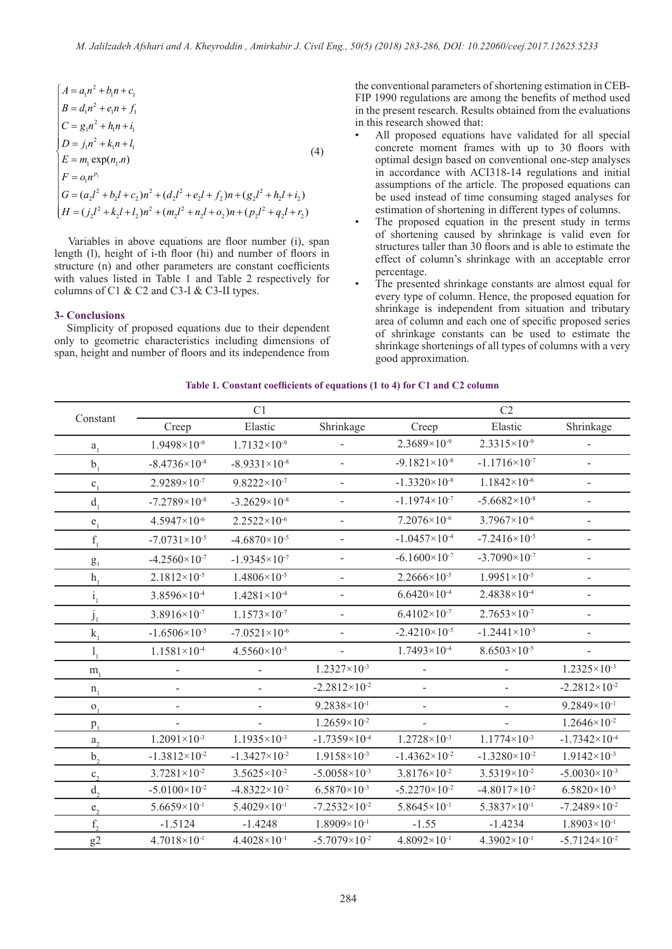$$
\begin{cases}\nA = a_1 n^2 + b_1 n + c_1 \\
B = d_1 n^2 + e_1 n + f_1 \\
C = g_1 n^2 + h_1 n + i_1 \\
D = j_1 n^2 + k_1 n + l_1 \\
E = m_1 \exp(n_1.n) \\
F = o_1 n^n \\
G = (a_2 l^2 + b_2 l + c_2) n^2 + (d_2 l^2 + e_2 l + f_2) n + (g_2 l^2 + h_2 l + i_2) \\
H = (j_2 l^2 + k_2 l + l_2) n^2 + (m_2 l^2 + n_2 l + o_2) n + (p_2 l^2 + q_2 l + r_2)\n\end{cases}
$$
\n(4)

 Variables in above equations are floor number (i), span length (l), height of i-th floor (hi) and number of floors in structure (n) and other parameters are constant coefficients with values listed in Table 1 and Table 2 respectively for columns of C1  $&$  C2 and C3-I  $&$  C3-II types.

## **3- Conclusions**

 Simplicity of proposed equations due to their dependent only to geometric characteristics including dimensions of span, height and number of floors and its independence from the conventional parameters of shortening estimation in CEB-FIP 1990 regulations are among the benefits of method used in the present research. Results obtained from the evaluations in this research showed that:

- All proposed equations have validated for all special concrete moment frames with up to 30 floors with optimal design based on conventional one-step analyses in accordance with ACI318-14 regulations and initial assumptions of the article. The proposed equations can be used instead of time consuming staged analyses for estimation of shortening in different types of columns.
- The proposed equation in the present study in terms of shortening caused by shrinkage is valid even for structures taller than 30 floors and is able to estimate the effect of column's shrinkage with an acceptable error percentage.
- The presented shrinkage constants are almost equal for every type of column. Hence, the proposed equation for shrinkage is independent from situation and tributary area of column and each one of specific proposed series of shrinkage constants can be used to estimate the shrinkage shortenings of all types of columns with a very good approximation.

### **Table 1. Constant coefficients of equations (1 to 4) for C1 and C2 column**

| Constant       | C <sub>1</sub>           |                          |                              | C <sub>2</sub>           |                          |                          |
|----------------|--------------------------|--------------------------|------------------------------|--------------------------|--------------------------|--------------------------|
|                | Creep                    | Elastic                  | Shrinkage                    | Creep                    | Elastic                  | Shrinkage                |
| a <sub>1</sub> | $1.9498 \times 10^{-9}$  | $1.7132\times10^{-9}$    |                              | $2.3689\times10^{-9}$    | $2.3315\times10^{-9}$    |                          |
| b <sub>1</sub> | $-8.4736\times10^{-8}$   | $-8.9331\times10^{-8}$   | $\overline{\phantom{0}}$     | $-9.1821 \times 10^{-8}$ | $-1.1716 \times 10^{-7}$ |                          |
| $c_{1}$        | $2.9289\times10^{-7}$    | $9.8222\times10^{-7}$    | $\qquad \qquad -$            | $-1.3320\times10^{-8}$   | $1.1842\times10^{-6}$    | $\overline{\phantom{a}}$ |
| d <sub>1</sub> | $-7.2789\times10^{-8}$   | $-3.2629\times10^{-8}$   |                              | $-1.1974 \times 10^{-7}$ | $-5.6682\times10^{-8}$   |                          |
| $e_{1}$        | $4.5947\times10^{-6}$    | $2.2522 \times 10^{-6}$  | $\overline{\phantom{a}}$     | $7.2076\times10^{-6}$    | $3.7967\times10^{-6}$    | $\overline{\phantom{a}}$ |
| $f_{1}$        | $-7.0731\times10^{-5}$   | $-4.6870\times10^{-5}$   | $\qquad \qquad \blacksquare$ | $-1.0457\times10^{-4}$   | $-7.2416 \times 10^{-5}$ |                          |
| g <sub>1</sub> | $-4.2560\times10^{-7}$   | $-1.9345 \times 10^{-7}$ | $\overline{\phantom{0}}$     | $-6.1600\times10^{-7}$   | $-3.7090\times10^{-7}$   | $\overline{\phantom{a}}$ |
| $h_{1}$        | $2.1812\times10^{-5}$    | $1.4806 \times 10^{-5}$  |                              | $2.2666\times10^{-5}$    | $1.9951\times10^{-5}$    |                          |
| $1\,1$         | 3.8596×10 <sup>-4</sup>  | $1.4281\times10^{-4}$    | $\overline{\phantom{0}}$     | $6.6420\times10^{-4}$    | 2.4838×10 <sup>-4</sup>  | $\blacksquare$           |
| $J_1$          | $3.8916 \times 10^{-7}$  | $1.1573\times10^{-7}$    | $\qquad \qquad \blacksquare$ | $6.4102\times10^{-7}$    | $2.7653\times10^{-7}$    |                          |
| $k_{1}$        | $-1.6506\times10^{-5}$   | $-7.0521\times10^{-6}$   |                              | $-2.4210\times10^{-5}$   | $-1.2441\times10^{-5}$   |                          |
|                | $1.1581\times10^{-4}$    | $4.5560\times10^{-5}$    |                              | $1.7493 \times 10^{-4}$  | $8.6503\times10^{-5}$    |                          |
| $m_{1}$        |                          |                          | $1.2327\times10^{-3}$        | $\overline{\phantom{a}}$ |                          | $1.2325 \times 10^{-3}$  |
| $n_{1}$        | $\overline{\phantom{a}}$ |                          | $-2.2812\times10^{-2}$       | $\overline{\phantom{a}}$ |                          | $-2.2812\times10^{-2}$   |
| O <sub>1</sub> |                          |                          | $9.2838 \times 10^{-1}$      | $\overline{\phantom{a}}$ |                          | $9.2849\times10^{-1}$    |
| $p_1$          |                          |                          | $1.2659\times10^{-2}$        |                          |                          | $1.2646 \times 10^{-2}$  |
| $a_{\gamma}$   | $1.2091\times10^{-3}$    | $1.1935 \times 10^{-3}$  | $-1.7359\times10^{-4}$       | $1.2728 \times 10^{-3}$  | $1.1774\times10^{-3}$    | $-1.7342\times10^{-4}$   |
| $b_{\gamma}$   | $-1.3812\times10^{-2}$   | $-1.3427 \times 10^{-2}$ | $1.9158 \times 10^{-3}$      | $-1.4362\times10^{-2}$   | $-1.3280\times10^{-2}$   | $1.9142\times10^{-3}$    |
| c <sub>2</sub> | $3.7281\times10^{-2}$    | $3.5625 \times 10^{-2}$  | $-5.0058\times10^{-3}$       | $3.8176 \times 10^{-2}$  | $3.5319\times10^{-2}$    | $-5.0030\times10^{-3}$   |
| $d_{\gamma}$   | $-5.0100\times10^{-2}$   | $-4.8322 \times 10^{-2}$ | $6.5870\times10^{-3}$        | $-5.2270\times10^{-2}$   | $-4.8017\times10^{-2}$   | $6.5820\times10^{-3}$    |
| e <sub>2</sub> | $5.6659\times10^{-1}$    | $5.4029\times10^{-1}$    | $-7.2532 \times 10^{-2}$     | $5.8645 \times 10^{-1}$  | $5.3837\times10^{-1}$    | $-7.2489\times10^{-2}$   |
| $f_{\gamma}$   | $-1.5124$                | $-1.4248$                | $1.8909 \times 10^{-1}$      | $-1.55$                  | $-1.4234$                | $1.8903 \times 10^{-1}$  |
| g2             | $4.7018\times10^{-1}$    | $4.4028 \times 10^{-1}$  | $-5.7079\times10^{-2}$       | $4.8092\times10^{-1}$    | $4.3902 \times 10^{-1}$  | $-5.7124 \times 10^{-2}$ |
|                |                          |                          |                              |                          |                          |                          |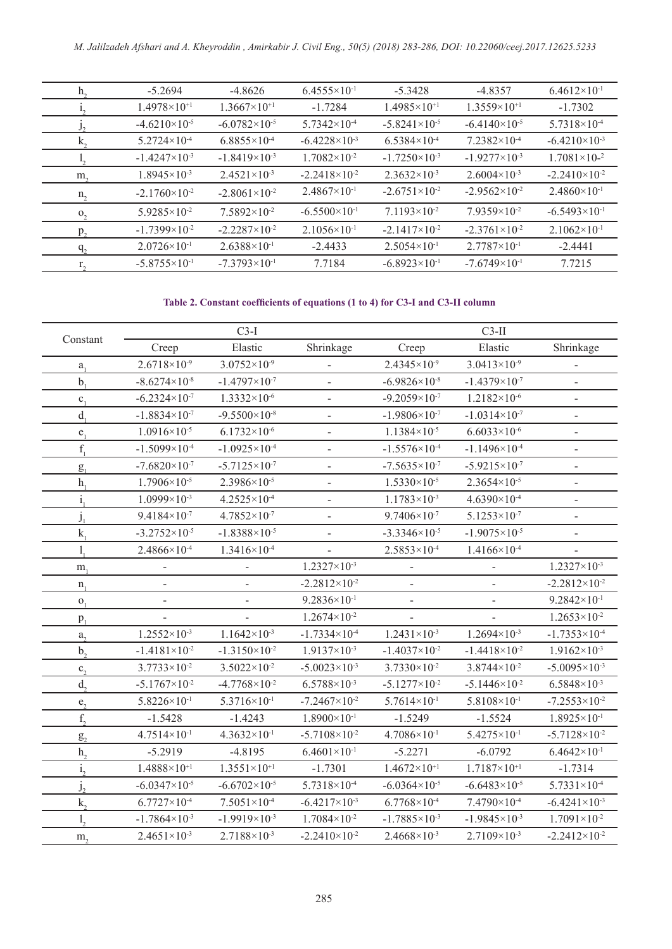|                | $-5.2694$                | $-4.8626$               | $6.4555\times10^{-1}$    | $-5.3428$              | $-4.8357$                | $6.4612\times10^{-1}$   |
|----------------|--------------------------|-------------------------|--------------------------|------------------------|--------------------------|-------------------------|
|                | $1.4978 \times 10^{+1}$  | $1.3667\times10^{+1}$   | $-1.7284$                | $1.4985\times10^{+1}$  | $1.3559\times10^{+1}$    | $-1.7302$               |
|                | $-4.6210\times10^{-5}$   | $-6.0782\times10^{-5}$  | $5.7342\times10^{-4}$    | $-5.8241\times10^{-5}$ | $-6.4140\times10^{-5}$   | $5.7318\times10^{-4}$   |
| К.             | $5.2724\times10^{-4}$    | $6.8855\times10^{-4}$   | $-6.4228\times10^{-3}$   | $6.5384\times10^{-4}$  | $7.2382\times10^{-4}$    | $-6.4210\times10^{-3}$  |
|                | $-1.4247\times10^{3}$    | $-1.8419\times10^{-3}$  | $1.7082\times10^{-2}$    | $-1.7250\times10^{-3}$ | $-1.9277\times10^{-3}$   | $1.7081 \times 10^{-2}$ |
| m <sub>2</sub> | $1.8945\times10^{-3}$    | $2.4521\times10^{-3}$   | $-2.2418 \times 10^{-2}$ | $2.3632\times10^{-3}$  | $2.6004\times10^{-3}$    | $-2.2410\times10^{-2}$  |
| $n_{2}$        | $-2.1760\times10^{-2}$   | $-2.8061\times10^{-2}$  | $2.4867\times10^{-1}$    | $-2.6751\times10^{-2}$ | $-2.9562\times10^{-2}$   | $2.4860\times10^{-1}$   |
| O <sub>2</sub> | $5.9285 \times 10^{-2}$  | $7.5892\times10^{-2}$   | $-6.5500\times10^{-1}$   | $7.1193\times10^{-2}$  | $7.9359\times10^{-2}$    | $-6.5493\times10^{-1}$  |
| $p_{2}$        | $-1.7399\times10^{2}$    | $-2.2287\times10^{-2}$  | $2.1056 \times 10^{-1}$  | $-2.1417\times10^{-2}$ | $-2.3761 \times 10^{-2}$ | $2.1062\times10^{-1}$   |
| $q_{2}$        | $2.0726 \times 10^{-1}$  | $2.6388 \times 10^{-1}$ | $-2.4433$                | $2.5054\times10^{-1}$  | $2.7787 \times 10^{-1}$  | $-2.4441$               |
| r,             | $-5.8755 \times 10^{-1}$ | $-7.3793\times10^{-1}$  | 7.7184                   | $-6.8923\times10^{-1}$ | $-7.6749\times10^{-1}$   | 7.7215                  |
|                |                          |                         |                          |                        |                          |                         |

## **Table 2. Constant coefficients of equations (1 to 4) for C3-I and C3-II column**

| Constant       | $C3-I$                   |                          |                              | $C3-II$                  |                          |                          |
|----------------|--------------------------|--------------------------|------------------------------|--------------------------|--------------------------|--------------------------|
|                | Creep                    | Elastic                  | Shrinkage                    | Creep                    | Elastic                  | Shrinkage                |
| $a_{1}$        | $2.6718\times10^{-9}$    | $3.0752\times10^{-9}$    |                              | $2.4345\times10^{-9}$    | $3.0413\times10^{-9}$    |                          |
| b <sub>1</sub> | $-8.6274\times10^{-8}$   | $-1.4797\times10^{-7}$   |                              | $-6.9826 \times 10^{-8}$ | $-1.4379\times10^{-7}$   |                          |
| $C_1$          | $-6.2324 \times 10^{-7}$ | $1.3332\times10^{-6}$    | $\qquad \qquad \blacksquare$ | $-9.2059\times10^{-7}$   | $1.2182\times10^{-6}$    | $\overline{\phantom{a}}$ |
| $d_{1}$        | $-1.8834\times10^{-7}$   | $-9.5500\times10^{-8}$   |                              | $-1.9806 \times 10^{-7}$ | $-1.0314\times10^{-7}$   |                          |
| e <sub>1</sub> | $1.0916 \times 10^{-5}$  | $6.1732\times10^{6}$     |                              | $1.1384\times10^{-5}$    | $6.6033\times10^{-6}$    |                          |
| $f_{i}$        | $-1.5099\times10^{-4}$   | $-1.0925 \times 10^{-4}$ | $\blacksquare$               | $-1.5576 \times 10^{-4}$ | $-1.1496 \times 10^{-4}$ | $\overline{\phantom{a}}$ |
| g <sub>1</sub> | $-7.6820\times10^{-7}$   | $-5.7125 \times 10^{-7}$ |                              | $-7.5635 \times 10^{-7}$ | $-5.9215 \times 10^{-7}$ |                          |
| h <sub>1</sub> | $1.7906 \times 10^{-5}$  | $2.3986 \times 10^{-5}$  |                              | $1.5330\times10^{-5}$    | $2.3654\times10^{-5}$    | $\overline{\phantom{a}}$ |
| i.             | $1.0999\times10^{-3}$    | $4.2525 \times 10^{-4}$  |                              | $1.1783\times10^{-3}$    | $4.6390\times10^{-4}$    |                          |
|                | $9.4184\times10^{-7}$    | $4.7852\times10^{-7}$    |                              | $9.7406\times10^{-7}$    | $5.1253\times10^{-7}$    |                          |
| $k_{1}$        | $-3.2752 \times 10^{-5}$ | $-1.8388 \times 10^{-5}$ |                              | $-3.3346 \times 10^{-5}$ | $-1.9075\times10^{-5}$   |                          |
| 1              | $2.4866 \times 10^{-4}$  | $1.3416\times10^{-4}$    |                              | $2.5853\times10^{-4}$    | $1.4166 \times 10^{-4}$  |                          |
| m <sub>1</sub> |                          |                          | $1.2327\times10^{-3}$        |                          |                          | $1.2327\times10^{-3}$    |
| $n_1$          |                          |                          | $-2.2812\times10^{-2}$       |                          |                          | $-2.2812\times10^{-2}$   |
| O <sub>1</sub> |                          |                          | $9.2836\times10^{-1}$        |                          |                          | $9.2842\times10^{-1}$    |
| $p_1$          |                          |                          | $1.2674\times10^{-2}$        |                          |                          | $1.2653\times10^{-2}$    |
| a <sub>2</sub> | $1.2552\times10^{-3}$    | $1.1642\times10^{-3}$    | $-1.7334 \times 10^{-4}$     | $1.2431\times10^{-3}$    | $1.2694\times10^{-3}$    | $-1.7353\times10^{-4}$   |
| b <sub>2</sub> | $-1.4181\times10^{-2}$   | $-1.3150\times10^{-2}$   | $1.9137\times10^{-3}$        | $-1.4037\times10^{-2}$   | $-1.4418\times10^{2}$    | $1.9162\times10^{-3}$    |
| c <sub>2</sub> | $3.7733 \times 10^{-2}$  | $3.5022\times10^{-2}$    | $-5.0023\times10^{-3}$       | $3.7330\times10^{-2}$    | $3.8744 \times 10^{-2}$  | $-5.0095\times10^{-3}$   |
| $d_{\gamma}$   | $-5.1767 \times 10^{-2}$ | $-4.7768 \times 10^{-2}$ | $6.5788\times10^{-3}$        | $-5.1277\times10^{-2}$   | $-5.1446 \times 10^{-2}$ | $6.5848\times10^{-3}$    |
| e <sub>2</sub> | $5.8226 \times 10^{-1}$  | $5.3716 \times 10^{-1}$  | $-7.2467\times10^{-2}$       | $5.7614\times10^{-1}$    | $5.8108\times10^{-1}$    | $-7.2553\times10^{-2}$   |
| $f_{\gamma}$   | $-1.5428$                | $-1.4243$                | $1.8900\times10^{-1}$        | $-1.5249$                | $-1.5524$                | $1.8925 \times 10^{-1}$  |
| g <sub>2</sub> | $4.7514\times10^{-1}$    | $4.3632\times10^{-1}$    | $-5.7108 \times 10^{-2}$     | $4.7086 \times 10^{-1}$  | $5.4275 \times 10^{-1}$  | $-5.7128 \times 10^{-2}$ |
| $h_{\gamma}$   | $-5.2919$                | $-4.8195$                | $6.4601\times10^{-1}$        | $-5.2271$                | $-6.0792$                | $6.4642\times10^{-1}$    |
| $i_{\gamma}$   | $1.4888\times10^{+1}$    | $1.3551\times10^{+1}$    | $-1.7301$                    | $1.4672\times10^{+1}$    | $1.7187\times10^{+1}$    | $-1.7314$                |
| $J_{2}$        | $-6.0347\times10^{-5}$   | $-6.6702\times10^{-5}$   | 5.7318×10 <sup>-4</sup>      | $-6.0364\times10^{-5}$   | $-6.6483\times10^{-5}$   | $5.7331\times10^{-4}$    |
| $k_{2}$        | $6.7727\times10^{-4}$    | $7.5051\times10^{-4}$    | $-6.4217\times10^{-3}$       | $6.7768\times10^{-4}$    | $7.4790\times10^{-4}$    | $-6.4241 \times 10^{-3}$ |
| 1.             | $-1.7864\times10^{-3}$   | $-1.9919\times10^{-3}$   | $1.7084\times10^{-2}$        | $-1.7885 \times 10^{-3}$ | $-1.9845 \times 10^{-3}$ | $1.7091\times10^{-2}$    |
| m <sub>2</sub> | $2.4651\times10^{-3}$    | $2.7188 \times 10^{-3}$  | $-2.2410\times10^{-2}$       | $2.4668\times10^{-3}$    | $2.7109\times10^{-3}$    | $-2.2412 \times 10^{-2}$ |